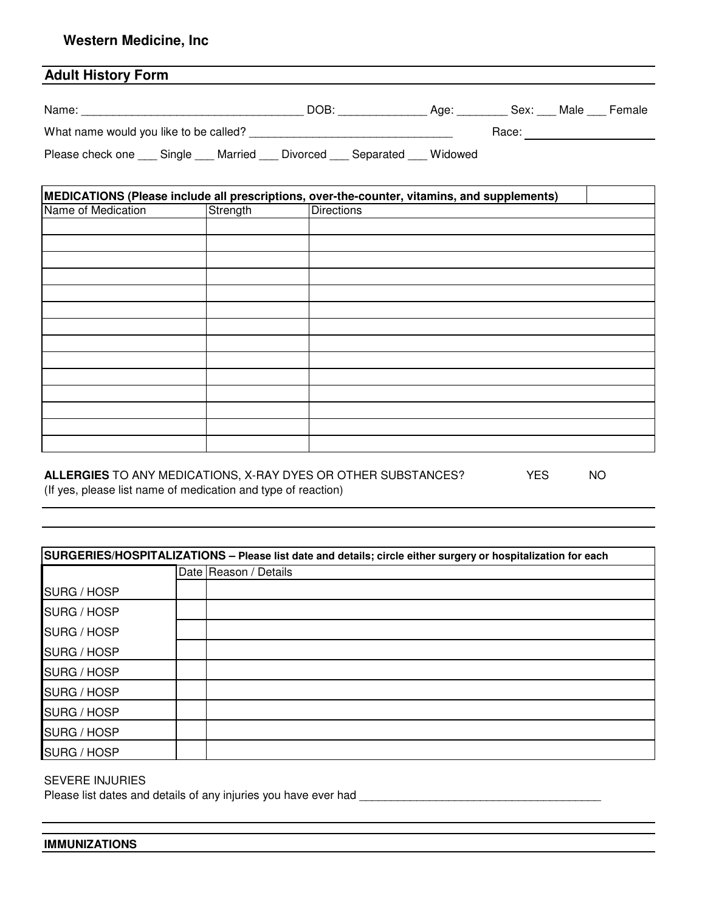### **Western Medicine, Inc**

# **Adult History Form**

| Name:                                  |  | <b>DOB</b> |          | Aae:      | Sex:    | Male  | <b>Female</b> |  |
|----------------------------------------|--|------------|----------|-----------|---------|-------|---------------|--|
| What name would you like to be called? |  |            |          |           |         | Race: |               |  |
| Please check one Single                |  | Married    | Divorced | Separated | Widowed |       |               |  |

| MEDICATIONS (Please include all prescriptions, over-the-counter, vitamins, and supplements) |          |                   |  |  |  |
|---------------------------------------------------------------------------------------------|----------|-------------------|--|--|--|
| Name of Medication                                                                          | Strength | <b>Directions</b> |  |  |  |
|                                                                                             |          |                   |  |  |  |
|                                                                                             |          |                   |  |  |  |
|                                                                                             |          |                   |  |  |  |
|                                                                                             |          |                   |  |  |  |
|                                                                                             |          |                   |  |  |  |
|                                                                                             |          |                   |  |  |  |
|                                                                                             |          |                   |  |  |  |
|                                                                                             |          |                   |  |  |  |
|                                                                                             |          |                   |  |  |  |
|                                                                                             |          |                   |  |  |  |
|                                                                                             |          |                   |  |  |  |
|                                                                                             |          |                   |  |  |  |
|                                                                                             |          |                   |  |  |  |
|                                                                                             |          |                   |  |  |  |

#### ALLERGIES TO ANY MEDICATIONS, X-RAY DYES OR OTHER SUBSTANCES? YES NO (If yes, please list name of medication and type of reaction)

| SURGERIES/HOSPITALIZATIONS - Please list date and details; circle either surgery or hospitalization for each |                       |  |  |  |  |
|--------------------------------------------------------------------------------------------------------------|-----------------------|--|--|--|--|
|                                                                                                              | Date Reason / Details |  |  |  |  |
| SURG / HOSP                                                                                                  |                       |  |  |  |  |
| SURG / HOSP                                                                                                  |                       |  |  |  |  |
| SURG / HOSP                                                                                                  |                       |  |  |  |  |
| SURG / HOSP                                                                                                  |                       |  |  |  |  |
| SURG / HOSP                                                                                                  |                       |  |  |  |  |
| SURG / HOSP                                                                                                  |                       |  |  |  |  |
| SURG / HOSP                                                                                                  |                       |  |  |  |  |
| SURG / HOSP                                                                                                  |                       |  |  |  |  |
| SURG / HOSP                                                                                                  |                       |  |  |  |  |
|                                                                                                              |                       |  |  |  |  |

#### SEVERE INJURIES

Please list dates and details of any injuries you have ever had \_\_\_\_\_\_\_\_\_\_\_\_\_\_\_\_\_\_\_\_\_\_\_\_\_\_\_\_\_\_\_\_\_\_\_\_\_\_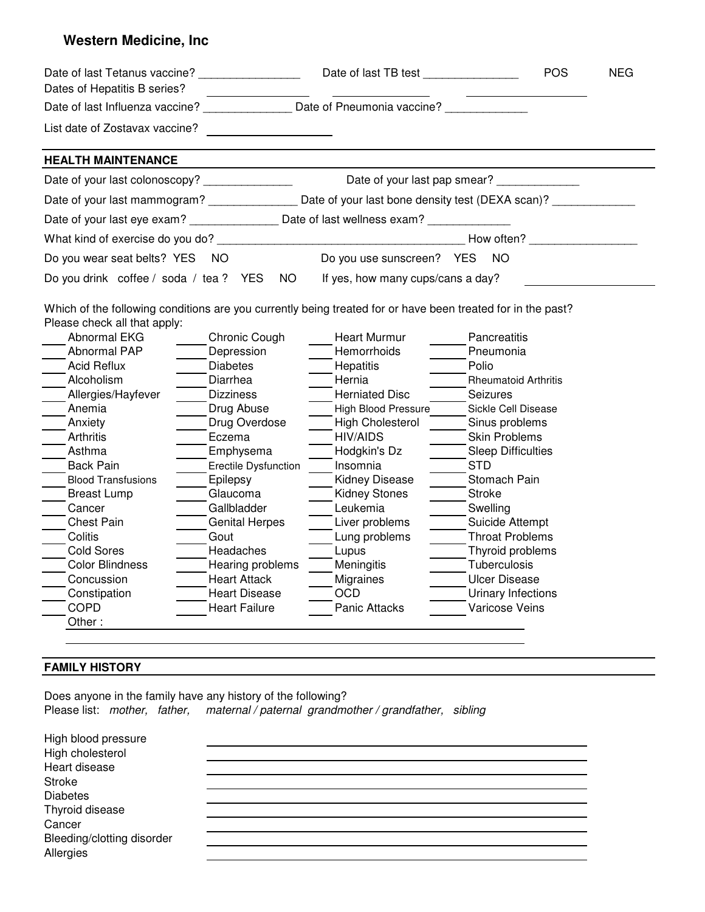# **Western Medicine, Inc**

| Dates of Hepatitis B series?                                                                                                                                                                                                                                                                                                                                                                                                                                    |                                                                                                                                                                                                                                                                                              |                                                                                                                                                                                                                                                                                                                  |                                                                                                                                                                                                                                                                                                                                                 | <b>POS</b> | <b>NEG</b> |
|-----------------------------------------------------------------------------------------------------------------------------------------------------------------------------------------------------------------------------------------------------------------------------------------------------------------------------------------------------------------------------------------------------------------------------------------------------------------|----------------------------------------------------------------------------------------------------------------------------------------------------------------------------------------------------------------------------------------------------------------------------------------------|------------------------------------------------------------------------------------------------------------------------------------------------------------------------------------------------------------------------------------------------------------------------------------------------------------------|-------------------------------------------------------------------------------------------------------------------------------------------------------------------------------------------------------------------------------------------------------------------------------------------------------------------------------------------------|------------|------------|
| Date of last Influenza vaccine? _______________ Date of Pneumonia vaccine? ____                                                                                                                                                                                                                                                                                                                                                                                 |                                                                                                                                                                                                                                                                                              |                                                                                                                                                                                                                                                                                                                  |                                                                                                                                                                                                                                                                                                                                                 |            |            |
| List date of Zostavax vaccine?                                                                                                                                                                                                                                                                                                                                                                                                                                  | <u>and the state of the state</u>                                                                                                                                                                                                                                                            |                                                                                                                                                                                                                                                                                                                  |                                                                                                                                                                                                                                                                                                                                                 |            |            |
| <b>HEALTH MAINTENANCE</b>                                                                                                                                                                                                                                                                                                                                                                                                                                       |                                                                                                                                                                                                                                                                                              |                                                                                                                                                                                                                                                                                                                  |                                                                                                                                                                                                                                                                                                                                                 |            |            |
| Date of your last colonoscopy? ________________                                                                                                                                                                                                                                                                                                                                                                                                                 |                                                                                                                                                                                                                                                                                              | Date of your last pap smear?                                                                                                                                                                                                                                                                                     |                                                                                                                                                                                                                                                                                                                                                 |            |            |
| Date of your last mammogram? _________________ Date of your last bone density test (DEXA scan)? __________                                                                                                                                                                                                                                                                                                                                                      |                                                                                                                                                                                                                                                                                              |                                                                                                                                                                                                                                                                                                                  |                                                                                                                                                                                                                                                                                                                                                 |            |            |
|                                                                                                                                                                                                                                                                                                                                                                                                                                                                 |                                                                                                                                                                                                                                                                                              |                                                                                                                                                                                                                                                                                                                  |                                                                                                                                                                                                                                                                                                                                                 |            |            |
|                                                                                                                                                                                                                                                                                                                                                                                                                                                                 |                                                                                                                                                                                                                                                                                              |                                                                                                                                                                                                                                                                                                                  | How often?                                                                                                                                                                                                                                                                                                                                      |            |            |
| Do you wear seat belts? YES NO                                                                                                                                                                                                                                                                                                                                                                                                                                  |                                                                                                                                                                                                                                                                                              | Do you use sunscreen? YES                                                                                                                                                                                                                                                                                        | <b>NO</b>                                                                                                                                                                                                                                                                                                                                       |            |            |
| Do you drink coffee / soda / tea ? YES NO                                                                                                                                                                                                                                                                                                                                                                                                                       |                                                                                                                                                                                                                                                                                              | If yes, how many cups/cans a day?                                                                                                                                                                                                                                                                                |                                                                                                                                                                                                                                                                                                                                                 |            |            |
| Which of the following conditions are you currently being treated for or have been treated for in the past?<br>Please check all that apply:<br>Abnormal EKG<br>Abnormal PAP<br><b>Acid Reflux</b><br>Alcoholism<br>Allergies/Hayfever<br>Anemia<br>Anxiety<br>Arthritis<br>Asthma<br><b>Back Pain</b><br><b>Blood Transfusions</b><br><b>Breast Lump</b><br>Cancer<br><b>Chest Pain</b><br>Colitis<br><b>Cold Sores</b><br><b>Color Blindness</b><br>Concussion | Chronic Cough<br>Depression<br><b>Diabetes</b><br>Diarrhea<br><b>Dizziness</b><br>Drug Abuse<br>Drug Overdose<br>Eczema<br>Emphysema<br>Erectile Dysfunction<br>Epilepsy<br>Glaucoma<br>Gallbladder<br><b>Genital Herpes</b><br>Gout<br>Headaches<br>Hearing problems<br><b>Heart Attack</b> | Heart Murmur<br>Hemorrhoids<br>Hepatitis<br>Hernia<br><b>Herniated Disc</b><br><b>High Blood Pressure</b><br><b>High Cholesterol</b><br><b>HIV/AIDS</b><br>Hodgkin's Dz<br>Insomnia<br>Kidney Disease<br><b>Kidney Stones</b><br>Leukemia<br>Liver problems<br>Lung problems<br>Lupus<br>Meningitis<br>Migraines | Pancreatitis<br>Pneumonia<br>Polio<br><b>Rheumatoid Arthritis</b><br>Seizures<br>Sickle Cell Disease<br>Sinus problems<br><b>Skin Problems</b><br><b>Sleep Difficulties</b><br><b>STD</b><br>Stomach Pain<br><b>Stroke</b><br>Swelling<br>Suicide Attempt<br><b>Throat Problems</b><br>Thyroid problems<br>Tuberculosis<br><b>Ulcer Disease</b> |            |            |
| Constipation<br><b>COPD</b><br>Other:                                                                                                                                                                                                                                                                                                                                                                                                                           | <b>Heart Disease</b><br><b>Heart Failure</b>                                                                                                                                                                                                                                                 | OCD<br>Panic Attacks                                                                                                                                                                                                                                                                                             | Urinary Infections<br>Varicose Veins                                                                                                                                                                                                                                                                                                            |            |            |

# **FAMILY HISTORY**

Does anyone in the family have any history of the following? Please list: mother, father, maternal / paternal grandmother / grandfather, sibling

| High blood pressure<br>High cholesterol |  |
|-----------------------------------------|--|
| Heart disease                           |  |
| <b>Stroke</b>                           |  |
| <b>Diabetes</b>                         |  |
| Thyroid disease                         |  |
| Cancer                                  |  |
| Bleeding/clotting disorder              |  |
| Allergies                               |  |